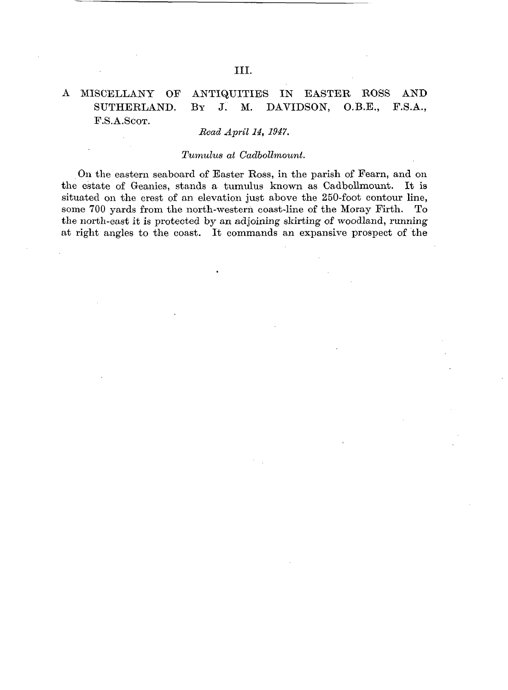## A MISCELLANY OF ANTIQUITIES IN EASTER BOSS AND SUTHERLAND. BY J. M. DAVIDSON, O.B.E., P.S.A., F.S.A.ScoT.

## *Read April 14, 1947.*

## *Tumulus at Cadbollmount.*

On the eastern seaboard of Easter Ross, in the parish of Fearn, and on the estate of Geanies, stands a tumulus known as Cadbollmount. It is situated on the crest of an elevation just above the 250-foot contour line, some 700 yards from the north-western coast-line of the Moray Firth. To the north-east it is protected by an adjoining skirting of woodland, running at right angles to the coast. It commands an expansive prospect of the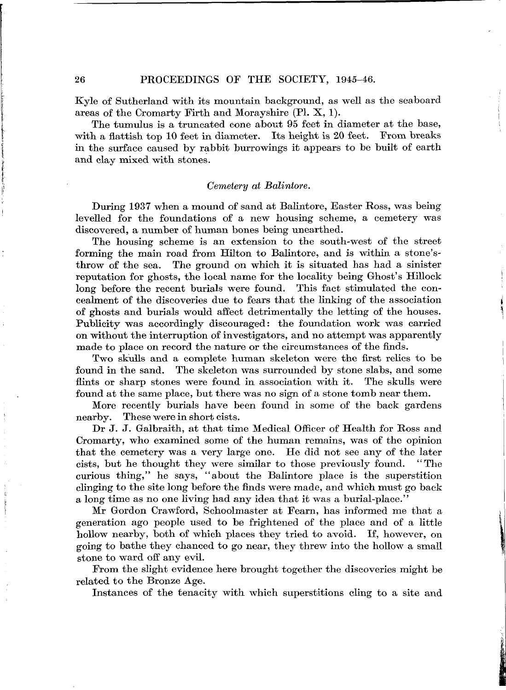Kyle of Sutherland with its mountain background, as well as the seaboard areas of the Cromarty Firth and Morayshire (PI. X, 1).

The tumulus is a truncated cone about 95 feet in diameter at the base,<br>h a flattish ton 10 feet in diameter. Its height is 20 feet. From breaks with a flattish top  $10$  feet in diameter. Its height is  $20$  feet. in the surface caused by rabbit burrowings it appears to be built of earth and clay mixed with stones.

### *Cemetery at Balintore.*

During 1937 when a mound of sand at Balintore, Easter Ross, was being levelled for the foundations of a new housing scheme, a cemetery was discovered, a number of human bones being unearthed.

The housing scheme is an extension to the south-west of the street forming the main road from Hilton to Balintore, and is within a stone'sthrow of the sea. The ground on which it is situated has had a sinister reputation for ghosts, the local name for the locality being Ghost's Hillock long before the recent burials were found. This fact stimulated the concealment of the discoveries due to fears that the linking of the association of ghosts and burials would affect detrimentally the letting of the houses. Publicity was accordingly discouraged: the foundation work was carried on without the interruption of investigators, and no attempt was apparently made to place on record the nature or the circumstances of the finds.

Two skulls and a complete human skeleton were the first relics to be found in the sand. The skeleton was surrounded by stone slabs, and some flints or sharp stones were found in association with it. The skulls were found at the same place, but there was no sign of a stone tomb near them.

More recently burials have been found in some of the back gardens nearby. These were in short cists.

Dr J. J. Galbraith, at that time Medical Officer of Health for Ross and Cromarty, who examined some of the human remains, was of the opinion that the cemetery was a very large one. He did not see any of the later cists, but he thought they were similar to those previously found. "The curious thing," he says, "about the Balintore place is the superstition clinging to the site long before the finds were made, and which must go back a long time as no one living had any idea that it was a burial-place."

Mr Gordon Crawford, Schoolmaster at Fearn, has informed me that a generation ago people used to be frightened of the place and of a little hollow nearby, both of which places they tried to avoid. If, however, on going to bathe they chanced to go near, they threw into the hollow a small stone to ward off any evil.

From the slight evidence here brought together the discoveries might be related to the Bronze Age.

Instances of the tenacity with which superstitions cling to a site and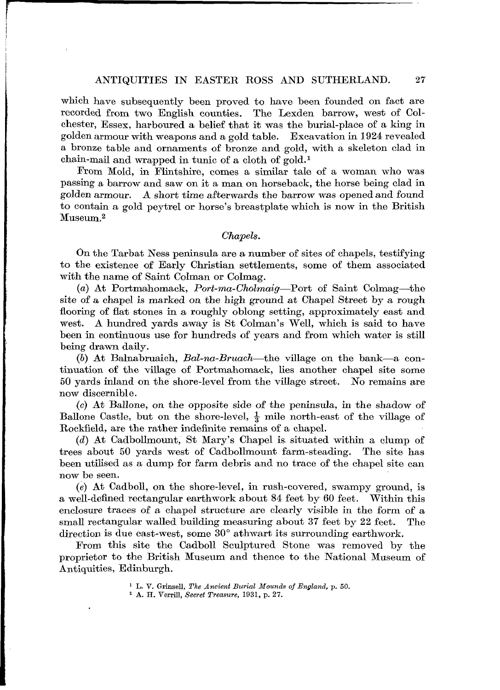which have subsequently been proved to have been founded on fact are recorded from two English counties. The Lexden barrow, west of Colchester, Essex, harboured a belief that it was the burial-place of a king in golden armour with weapons and a gold table. Excavation in 1924 revealed golden armour with weapons and a gold table. a bronze table and ornaments of bronze and gold, with a skeleton clad in chain-mail and wrapped in tunic of a cloth of gold.<sup>1</sup>

From Mold, in Flintshire, comes a similar tale of a woman who was passing a barrow and saw on it a man on horseback, the horse being clad in golden armour. A short time afterwards the barrow was opened and found A short time afterwards the barrow was opened and found to contain a gold peytrel or horse's breastplate which is now in the British Museum.<sup>2</sup>

#### *Chapels.*

On the Tarbat Ness peninsula are a number of sites of chapels, testifying to the existence of Early Christian settlements, some of them associated with the name of Saint Colman or Colmag.

(a) At Portmahomack, *Port-ma-Cholmaig*—Port of Saint Colmag—the site of a chapel is marked on the high ground at Chapel Street by a rough flooring of flat stones in a roughly oblong setting, approximately east and west. A hundred yards away is St Colman's Well, which is said to have been in continuous use for hundreds of years and from which water is still being drawn daily.

(6) At Balnabruaich, *Bal-na-Bruach*—the village on the bank—a continuation, of the village of Portmahomack, lies another chapel site some 50 yards inland on the shore-level from the village street. No remains are now discernible.

(c) At Ballone, on the opposite side of the peninsula, in the shadow of Ballone Castle, but on the shore-level,  $\frac{1}{3}$  mile north-east of the village of Rockfield, are the rather indefinite remains of a chapel.

*(d)* At Cadbollmount, St Mary's Chapel is. situated within a clump of trees about 50 yards west of Cadbollmount farm-steading. The site has been utilised as a dump for farm debris and no trace of the chapel site can now be seen.

*(e)* At Cadboll, on the shore-level, in rush-covered, swampy ground, is a well-defined rectangular earthwork about 84 feet by 60 feet. Within this enclosure traces of a chapel structure are clearly visible in the form of a small rectangular walled building measuring about 37 feet by 22 feet. The direction is due east-west, some 30° athwart its surrounding earthwork.

From this site the Cadboll Sculptured Stone was removed by the proprietor to the British Museum and thence to the National Museum of Antiquities, Edinburgh.

<sup>&</sup>lt;sup>1</sup> L. V. Grinsell, *The Ancient Burial Mounds of England*, p. 50.<br><sup>2</sup> A. H. Verrill. *Secret Treasure*. 1931, p. 27.

A. H. Verrffl, *Secret Treasure,* 1931, p. 27.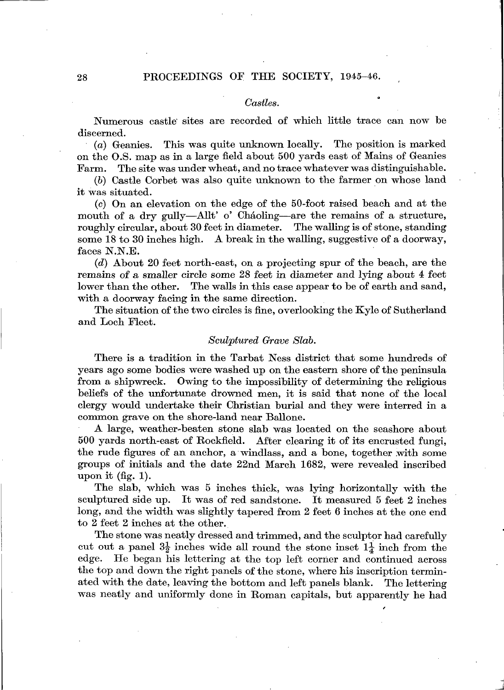## 28 PROCEEDINGS OF THE SOCIETY, 1945-46.

#### *Castles.*

Numerous castle' sites are recorded of which little trace can now be discerned.

(a) Geanies. This was quite unknown locally. The position is marked on the O.S. map as in a large field about 500 yards east of Mains of Geanies Farm. The site was under wheat, and no trace whatever was distinguishable.

(6) Castle Corbet was also quite unknown to the farmer on whose land it was situated.

(c) On an elevation on the edge of the 50-foot raised beach and at the mouth of a dry gully—AUt' o' Chaoling—are the remains of a structure, roughly circular, about 30 feet in diameter. The walling is of stone, standing some 18 to 30 inches high. A break in the walling, suggestive of a doorway, faces N.N.E.

*(d)* About 20 feet north-east, on a projecting spur of the beach, are the remains of a smaller circle some 28 feet in diameter and lying about 4 feet lower than the other. The walls in this case appear to be of earth and sand, with a doorway facing in the same direction.

The situation of the two circles is fine, overlooking the Kyle of Sutherland and Loch Fleet.

#### *Sculptured Grave Slab.*

There is a tradition in the Tarbat Ness district that some hundreds of years ago some bodies were washed up on the eastern shore of the peninsula from a shipwreck. Owing to the impossibility of determining the religious beliefs of the unfortunate drowned men, it is said that none of the local clergy would undertake their Christian burial and they were interred in a common grave on the shore-land near Ballone.

A large, weather-beaten stone slab was located on the seashore about 500 yards north-east of Rockfield. After clearing it of its encrusted fungi, the rude figures of an anchor, a windlass, and a bone, together with some groups of initials and the date 22nd March 1682, were revealed inscribed upon it (fig. 1).

The slab, which was 5 inches thick, was lying horizontally with the sculptured side up. It was of red sandstone. It measured 5 feet 2 inches long, and the width was slightly tapered from 2 feet 6 inches at the one end to 2 feet 2 inches at the other.

The stone was neatly dressed and trimmed, and the sculptor had carefully cut out a panel  $3\frac{1}{2}$  inches wide all round the stone inset  $1\frac{1}{4}$  inch from the edge. He began his lettering at the top left corner and continued across the top and down the right panels of the stone, where his inscription terminated with the date, leaving the bottom and left panels blank. The lettering was neatly and uniformly done in Roman capitals, but apparently he had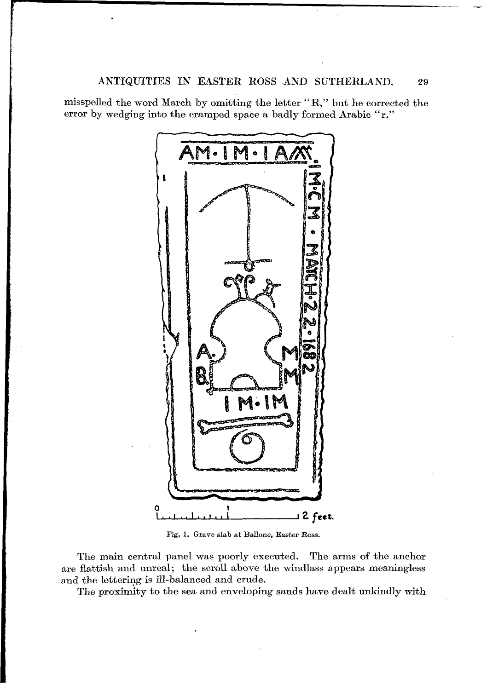misspelled the word March by omitting the letter "R," but he corrected the error by wedging into the cramped space a badly formed Arabic "r."



Fig. 1. Grave slab at Ballone, Easter Boss.

The main central panel was poorly executed. The arms of the anchor are flattish and unreal; the scroll above the windlass appears meaningless and the lettering is ill-balanced and crude.

The proximity to the sea and enveloping sands have dealt unkindly with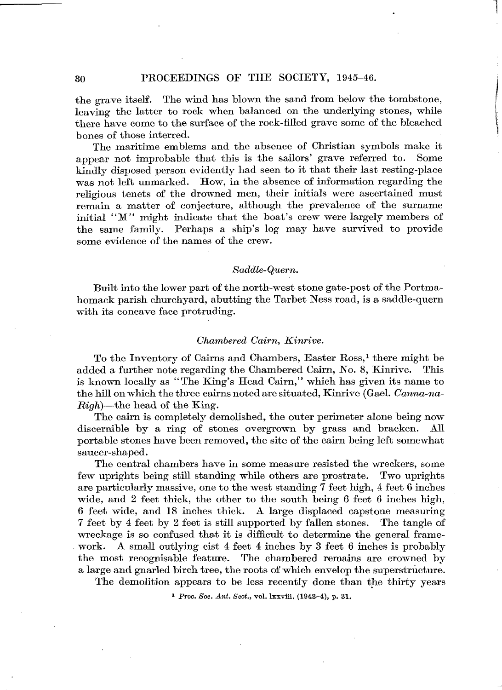the grave itself. The wind has blown the sand from below the tombstone, leaving the latter to rock when balanced on the underlying stones, while there have come to the surface of the rock-filled grave some of the bleached bones of those interred.

The maritime emblems and the absence of Christian symbols make it appear not improbable that this is the sailors' grave referred to. Some kindly disposed person evidently had seen to it that their last resting-place was not left unmarked. How, in the absence of information regarding the religious tenets of the drowned men, their initials were ascertained must remain a matter of conjecture, although the prevalence of the surname initial "M" might indicate that the boat's crew were largely members of the same family. Perhaps a ship's log may have survived to provide some evidence of the names of the crew.

## *Saddle-Quern.*

Built into the lower part of the north-west stone gate-post of the Portmahomack parish churchyard, abutting the Tarbet Ness road, is a saddle-quern with its concave face protruding.

#### *Chambered Cairn, Kinrive.*

To the Inventory of Cairns and Chambers, Easter Ross,<sup>1</sup> there might be added a further note regarding the Chambered Cairn, No. 8, Kinrive. This is known locally as "The King's Head Cairn," which has given its name to the hill on which the three cairns noted are situated, Kinrive (Gael. *Canna-na-Righ)—*the head of the King.

The cairn is completely demolished, the outer perimeter alone being now discernible by a ring of stones overgrown by grass and bracken. All portable stones have been removed, the site of the cairn being left somewhat saucer-shaped.

The central chambers have in some measure resisted the wreckers, some few uprights being still standing while others are prostrate. Two uprights are particularly massive, one to the west standing 7 feet high, 4 feet 6 inches wide, and 2 feet thick, the other to the south being 6 feet 6 inches high, 6 feet wide, and 18 inches thick. A large displaced capstone measuring 7 feet by 4 feet by 2 feet is still supported by fallen stones. The tangle of wreckage is so confused that it *is* difficult to determine the general framework. A small outlying cist 4 feet 4 inches by 3 feet 6 inches is probably the most recognisable feature. The chambered remains are crowned by a large and gnarled birch tree, the roots of which envelop the superstructure.

The demolition appears to be less recently done than the thirty years

1  *Proc. Soc. Ant. Scot.,* vol. Ixxviii. (1943-4), p. 31.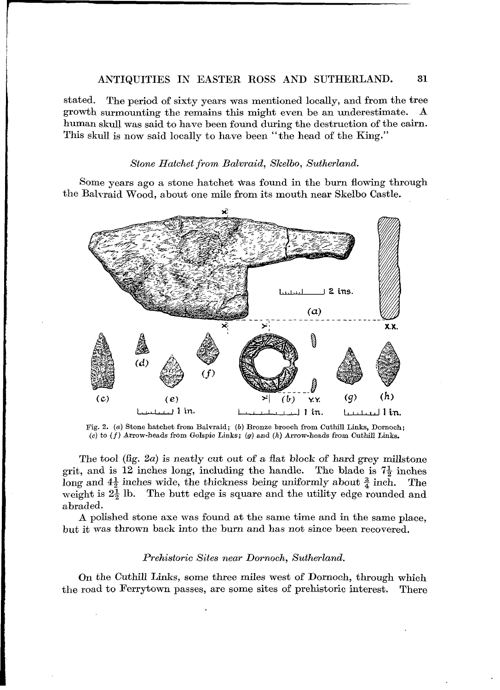## ANTIQUITIES IN EASTER ROSS AND SUTHERLAND. 31

stated. The period of sixty years was mentioned locally, and from the tree growth surmounting the remains this might even be an underestimate. A human skull was said to have been found during the destruction of the cairn. This skull is now said locally to have been "the head of the King."

#### *Stone Hatchet from Balvraid, Skelbo, Sutherland.*

Some years ago a stone hatchet was found in the burn flowing through the Balvraid Wood, about one mile from its mouth near Skelbo Castle.



Fig. 2. (a) Stone hatchet from Balvraid; (b) Bronze brooch from Cuthill Links, Dornoch; *(c)* to  $(f)$  Arrow-heads from Golspie Links;  $(g)$  and  $(h)$  Arrow-heads from Cuthill Links.

The tool (fig. 2a) is neatly cut out of a flat block of hard grey millstone grit, and is 12 inches long, including the handle. The blade is  $7\frac{1}{2}$  inches The tool (fig. 2*a*) is neatly cut out of a flat block of hard grey millstone<br>grit, and is 12 inches long, including the handle. The blade is  $7\frac{1}{2}$  inches<br>long and  $4\frac{1}{2}$  inches wide, the thickness being uniforml long and  $4\frac{1}{2}$  inches wide, the thickness being uniformly about  $\frac{3}{4}$  inch. The weight is  $2\frac{1}{2}$  lb. The butt edge is square and the utility edge rounded and abraded.

A polished stone axe was found at the same time and in the same place, but it was thrown back into the burn and has not since been recovered.

#### *Prehistoric Sites near Dornoch, Sutherland.*

On the Cuthill Links, some three miles west of Dornoch, through which the road to Ferrytown passes, are some sites of prehistoric interest. There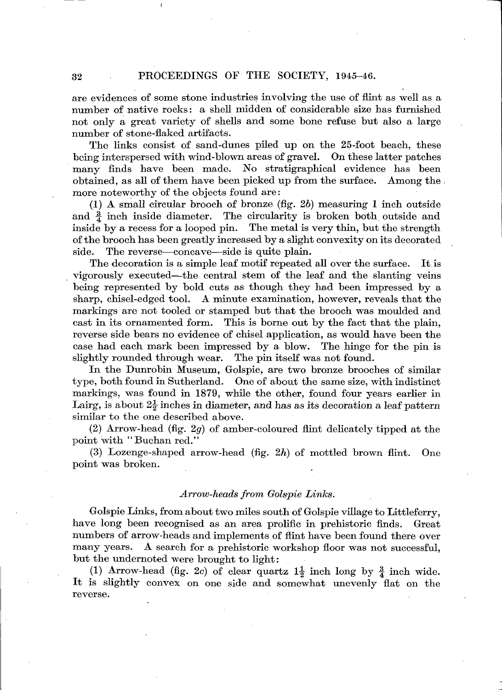are evidences of some stone industries involving the use of flint as well as a number of native rocks: a shell midden of considerable size has furnished not only a great variety of shells and some bone refuse but also a large number of stone-flaked artifacts.

The links consist of sand-dunes piled up on the 25-foot beach, these being interspersed with wind-blown areas of gravel. On these latter patches many finds have been made. No stratigraphical evidence has been obtained, as all of them have been picked up from the surface. Among the . more noteworthy of the objects found are:

(1) A small circular brooch of bronze (fig. 26) measuring 1 inch outside and  $\frac{3}{4}$  inch inside diameter. The circularity is broken both outside and inside by a recess for a looped pin. The metal is very thin, but the strength of the brooch has been greatly increased by a slight convexity on its decorated side. The reverse—concave—side is quite plain.

The decoration is a simple leaf motif repeated all over the surface. It is vigorously executed—the central stem of the leaf and the slanting veins being represented by bold cuts as though they had been impressed by a sharp, chisel-edged tool. A minute examination, however, reveals that the markings are not tooled or stamped but that the brooch was moulded and cast in its ornamented form. This is borne out by the fact that the plain, reverse side bears no evidence of chisel application, as would have been the case had each mark been impressed by a blow. The hinge for the pin is slightly rounded through wear. The pin itself was not found.

In the Dunrobin Museum, Golspie, are two bronze brooches of similar type, both found in Sutherland. One of about the same size, with indistinct markings, was found in 1879, while the other, found four years earlier in Lairg, is about  $2\frac{1}{2}$  inches in diameter, and has as its decoration a leaf pattern similar to the one described above.

(2) Arrow-head (fig. *2g)* of amber-coloured flint delicately tipped at the point with "Buchan red."

(3) Lozenge-shaped arrow-head (fig. *2h)* of mottled brown flint. One point was broken.

## *Arrow-heads from Golspie Links.*

Golspie Links, from about two miles south of Golspie village to Littleferry, have long been recognised as an area prolific in prehistoric finds. Great numbers of arrow-heads and implements of flint have been found there over many years. A search for a prehistoric workshop floor was not successful, but the undernoted were brought to light:

(1) Arrow-head (fig. 2c) of clear quartz  $1\frac{1}{2}$  inch long by  $\frac{3}{4}$  inch wide. It is slightly convex on one side and somewhat unevenly flat on the reverse.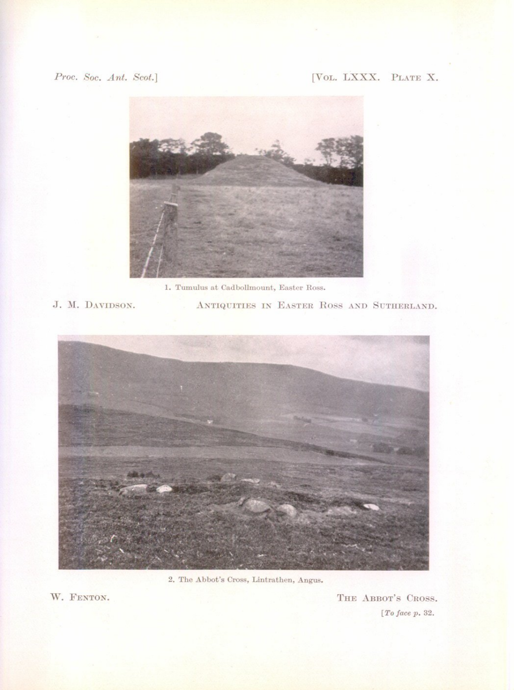# Proc. Soc. Ant. Scot.]

# [VOL. LXXX. PLATE X.



1. Tumulus at Cadbollmount, Easter Ross.

J. M. DAVIDSON.

ANTIQUITIES IN EASTER ROSS AND SUTHERLAND.



2. The Abbot's Cross, Lintrathen, Angus.

W. FENTON.

THE ABBOT'S CROSS.  $[To\ face\ p.\ 32.$